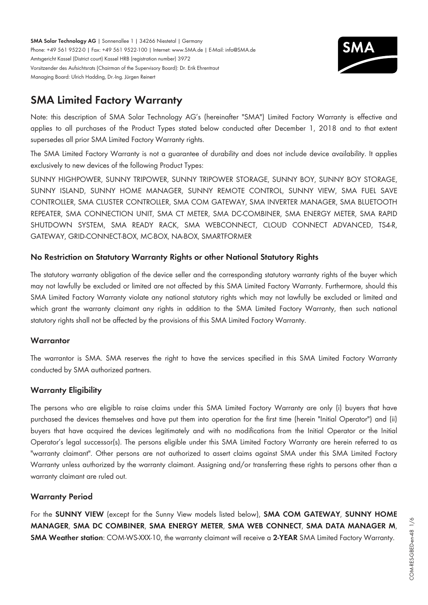**SMA Solar Technology AG** | Sonnenallee 1 | 34266 Niestetal | Germany Phone: +49 561 9522-0 | Fax: +49 561 9522-100 | Internet: www.SMA.de | E-Mail: info@SMA.de Amtsgericht Kassel (District court) Kassel HRB (registration number) 3972 Vorsitzender des Aufsichtsrats (Chairman of the Supervisory Board): Dr. Erik Ehrentraut Managing Board: Ulrich Hadding, Dr.-Ing. Jürgen Reinert



# **SMA Limited Factory Warranty**

Note: this description of SMA Solar Technology AG's (hereinafter "SMA") Limited Factory Warranty is effective and applies to all purchases of the Product Types stated below conducted after December 1, 2018 and to that extent supersedes all prior SMA Limited Factory Warranty rights.

The SMA Limited Factory Warranty is not a guarantee of durability and does not include device availability. It applies exclusively to new devices of the following Product Types:

SUNNY HIGHPOWER, SUNNY TRIPOWER, SUNNY TRIPOWER STORAGE, SUNNY BOY, SUNNY BOY STORAGE, SUNNY ISLAND, SUNNY HOME MANAGER, SUNNY REMOTE CONTROL, SUNNY VIEW, SMA FUEL SAVE CONTROLLER, SMA CLUSTER CONTROLLER, SMA COM GATEWAY, SMA INVERTER MANAGER, SMA BLUETOOTH REPEATER, SMA CONNECTION UNIT, SMA CT METER, SMA DC-COMBINER, SMA ENERGY METER, SMA RAPID SHUTDOWN SYSTEM, SMA READY RACK, SMA WEBCONNECT, CLOUD CONNECT ADVANCED, TS4-R, GATEWAY, GRID-CONNECT-BOX, MC-BOX, NA-BOX, SMARTFORMER

# **No Restriction on Statutory Warranty Rights or other National Statutory Rights**

The statutory warranty obligation of the device seller and the corresponding statutory warranty rights of the buyer which may not lawfully be excluded or limited are not affected by this SMA Limited Factory Warranty. Furthermore, should this SMA Limited Factory Warranty violate any national statutory rights which may not lawfully be excluded or limited and which grant the warranty claimant any rights in addition to the SMA Limited Factory Warranty, then such national statutory rights shall not be affected by the provisions of this SMA Limited Factory Warranty.

## **Warrantor**

The warrantor is SMA. SMA reserves the right to have the services specified in this SMA Limited Factory Warranty conducted by SMA authorized partners.

## **Warranty Eligibility**

The persons who are eligible to raise claims under this SMA Limited Factory Warranty are only (i) buyers that have purchased the devices themselves and have put them into operation for the first time (herein "Initial Operator") and (ii) buyers that have acquired the devices legitimately and with no modifications from the Initial Operator or the Initial Operator's legal successor(s). The persons eligible under this SMA Limited Factory Warranty are herein referred to as "warranty claimant". Other persons are not authorized to assert claims against SMA under this SMA Limited Factory Warranty unless authorized by the warranty claimant. Assigning and/or transferring these rights to persons other than a warranty claimant are ruled out.

## **Warranty Period**

For the **SUNNY VIEW** (except for the Sunny View models listed below), **SMA COM GATEWAY**, **SUNNY HOME MANAGER**, **SMA DC COMBINER**, **SMA ENERGY METER**, **SMA WEB CONNECT**, **SMA DATA MANAGER M**, **SMA Weather station**: COM-WS-XXX-10, the warranty claimant will receive a **2-YEAR** SMA Limited Factory Warranty.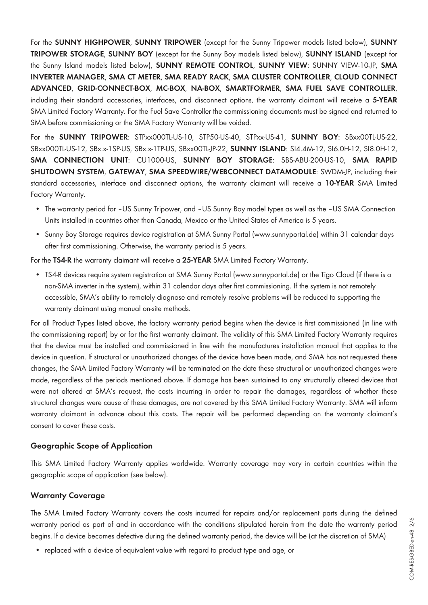For the **SUNNY HIGHPOWER**, **SUNNY TRIPOWER** (except for the Sunny Tripower models listed below), **SUNNY TRIPOWER STORAGE**, **SUNNY BOY** (except for the Sunny Boy models listed below), **SUNNY ISLAND** (except for the Sunny Island models listed below), **SUNNY REMOTE CONTROL**, **SUNNY VIEW**: SUNNY VIEW-10-JP, **SMA INVERTER MANAGER**, **SMA CT METER**, **SMA READY RACK**, **SMA CLUSTER CONTROLLER**, **CLOUD CONNECT ADVANCED**, **GRID-CONNECT-BOX**, **MC-BOX**, **NA-BOX**, **SMARTFORMER**, **SMA FUEL SAVE CONTROLLER**, including their standard accessories, interfaces, and disconnect options, the warranty claimant will receive a **5-YEAR** SMA Limited Factory Warranty. For the Fuel Save Controller the commissioning documents must be signed and returned to SMA before commissioning or the SMA Factory Warranty will be voided.

For the **SUNNY TRIPOWER**: STPxx000TL-US-10, STP50-US-40, STPxx-US-41, **SUNNY BOY**: SBxx00TL-US-22, SBxx000TL-US-12, SBx.x-1SP-US, SBx.x-1TP-US, SBxx00TL-JP-22, **SUNNY ISLAND**: SI4.4M-12, SI6.0H-12, SI8.0H-12, **SMA CONNECTION UNIT**: CU1000-US, **SUNNY BOY STORAGE**: SBS-ABU-200-US-10, **SMA RAPID SHUTDOWN SYSTEM**, **GATEWAY**, **SMA SPEEDWIRE/WEBCONNECT DATAMODULE**: SWDM-JP, including their standard accessories, interface and disconnect options, the warranty claimant will receive a **10-YEAR** SMA Limited Factory Warranty.

- The warranty period for –US Sunny Tripower, and –US Sunny Boy model types as well as the –US SMA Connection Units installed in countries other than Canada, Mexico or the United States of America is 5 years.
- Sunny Boy Storage requires device registration at SMA Sunny Portal (www.sunnyportal.de) within 31 calendar days after first commissioning. Otherwise, the warranty period is 5 years.

For the **TS4-R** the warranty claimant will receive a **25-YEAR** SMA Limited Factory Warranty.

• TS4-R devices require system registration at SMA Sunny Portal (www.sunnyportal.de) or the Tigo Cloud (if there is a non-SMA inverter in the system), within 31 calendar days after first commissioning. If the system is not remotely accessible, SMA's ability to remotely diagnose and remotely resolve problems will be reduced to supporting the warranty claimant using manual on-site methods.

For all Product Types listed above, the factory warranty period begins when the device is first commissioned (in line with the commissioning report) by or for the first warranty claimant. The validity of this SMA Limited Factory Warranty requires that the device must be installed and commissioned in line with the manufactures installation manual that applies to the device in question. If structural or unauthorized changes of the device have been made, and SMA has not requested these changes, the SMA Limited Factory Warranty will be terminated on the date these structural or unauthorized changes were made, regardless of the periods mentioned above. If damage has been sustained to any structurally altered devices that were not altered at SMA's request, the costs incurring in order to repair the damages, regardless of whether these structural changes were cause of these damages, are not covered by this SMA Limited Factory Warranty. SMA will inform warranty claimant in advance about this costs. The repair will be performed depending on the warranty claimant's consent to cover these costs.

## **Geographic Scope of Application**

This SMA Limited Factory Warranty applies worldwide. Warranty coverage may vary in certain countries within the geographic scope of application (see below).

#### **Warranty Coverage**

The SMA Limited Factory Warranty covers the costs incurred for repairs and/or replacement parts during the defined warranty period as part of and in accordance with the conditions stipulated herein from the date the warranty period begins. If a device becomes defective during the defined warranty period, the device will be (at the discretion of SMA)

• replaced with a device of equivalent value with regard to product type and age, or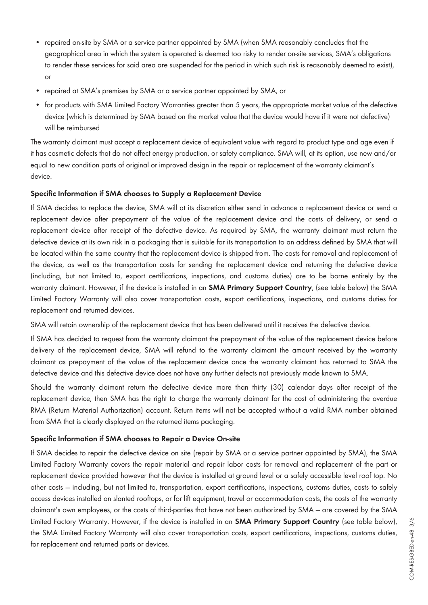- repaired on-site by SMA or a service partner appointed by SMA (when SMA reasonably concludes that the geographical area in which the system is operated is deemed too risky to render on-site services, SMA's obligations to render these services for said area are suspended for the period in which such risk is reasonably deemed to exist), or
- repaired at SMA's premises by SMA or a service partner appointed by SMA, or
- for products with SMA Limited Factory Warranties greater than 5 years, the appropriate market value of the defective device (which is determined by SMA based on the market value that the device would have if it were not defective) will be reimbursed

The warranty claimant must accept a replacement device of equivalent value with regard to product type and age even if it has cosmetic defects that do not affect energy production, or safety compliance. SMA will, at its option, use new and/or equal to new condition parts of original or improved design in the repair or replacement of the warranty claimant's device.

#### **Specific Information if SMA chooses to Supply a Replacement Device**

If SMA decides to replace the device, SMA will at its discretion either send in advance a replacement device or send a replacement device after prepayment of the value of the replacement device and the costs of delivery, or send a replacement device after receipt of the defective device. As required by SMA, the warranty claimant must return the defective device at its own risk in a packaging that is suitable for its transportation to an address defined by SMA that will be located within the same country that the replacement device is shipped from. The costs for removal and replacement of the device, as well as the transportation costs for sending the replacement device and returning the defective device (including, but not limited to, export certifications, inspections, and customs duties) are to be borne entirely by the warranty claimant. However, if the device is installed in an **SMA Primary Support Country**, (see table below) the SMA Limited Factory Warranty will also cover transportation costs, export certifications, inspections, and customs duties for replacement and returned devices.

SMA will retain ownership of the replacement device that has been delivered until it receives the defective device.

If SMA has decided to request from the warranty claimant the prepayment of the value of the replacement device before delivery of the replacement device, SMA will refund to the warranty claimant the amount received by the warranty claimant as prepayment of the value of the replacement device once the warranty claimant has returned to SMA the defective device and this defective device does not have any further defects not previously made known to SMA.

Should the warranty claimant return the defective device more than thirty (30) calendar days after receipt of the replacement device, then SMA has the right to charge the warranty claimant for the cost of administering the overdue RMA (Return Material Authorization) account. Return items will not be accepted without a valid RMA number obtained from SMA that is clearly displayed on the returned items packaging.

#### **Specific Information if SMA chooses to Repair a Device On-site**

If SMA decides to repair the defective device on site (repair by SMA or a service partner appointed by SMA), the SMA Limited Factory Warranty covers the repair material and repair labor costs for removal and replacement of the part or replacement device provided however that the device is installed at ground level or a safely accessible level roof top. No other costs — including, but not limited to, transportation, export certifications, inspections, customs duties, costs to safely access devices installed on slanted rooftops, or for lift equipment, travel or accommodation costs, the costs of the warranty claimant's own employees, or the costs of third-parties that have not been authorized by SMA — are covered by the SMA Limited Factory Warranty. However, if the device is installed in an **SMA Primary Support Country** (see table below), the SMA Limited Factory Warranty will also cover transportation costs, export certifications, inspections, customs duties, for replacement and returned parts or devices.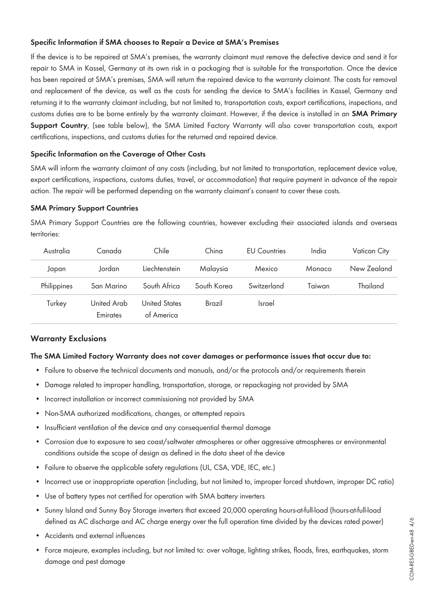## **Specific Information if SMA chooses to Repair a Device at SMA's Premises**

If the device is to be repaired at SMA's premises, the warranty claimant must remove the defective device and send it for repair to SMA in Kassel, Germany at its own risk in a packaging that is suitable for the transportation. Once the device has been repaired at SMA's premises, SMA will return the repaired device to the warranty claimant. The costs for removal and replacement of the device, as well as the costs for sending the device to SMA's facilities in Kassel, Germany and returning it to the warranty claimant including, but not limited to, transportation costs, export certifications, inspections, and customs duties are to be borne entirely by the warranty claimant. However, if the device is installed in an **SMA Primary Support Country**, (see table below), the SMA Limited Factory Warranty will also cover transportation costs, export certifications, inspections, and customs duties for the returned and repaired device.

#### **Specific Information on the Coverage of Other Costs**

SMA will inform the warranty claimant of any costs (including, but not limited to transportation, replacement device value, export certifications, inspections, customs duties, travel, or accommodation) that require payment in advance of the repair action. The repair will be performed depending on the warranty claimant's consent to cover these costs.

#### **SMA Primary Support Countries**

SMA Primary Support Countries are the following countries, however excluding their associated islands and overseas territories:

| Australia   | Canada                  | Chile                       | China       | <b>EU Countries</b> | India  | Vatican City |
|-------------|-------------------------|-----------------------------|-------------|---------------------|--------|--------------|
| Japan       | Jordan                  | Liechtenstein               | Malaysia    | Mexico              | Monaco | New Zealand  |
| Philippines | San Marino              | South Africa                | South Korea | Switzerland         | Taiwan | Thailand     |
| Turkey      | United Arab<br>Emirates | United States<br>of America | Brazil      | <b>Israel</b>       |        |              |

## **Warranty Exclusions**

#### **The SMA Limited Factory Warranty does not cover damages or performance issues that occur due to:**

- Failure to observe the technical documents and manuals, and/or the protocols and/or requirements therein
- Damage related to improper handling, transportation, storage, or repackaging not provided by SMA
- Incorrect installation or incorrect commissioning not provided by SMA
- Non-SMA authorized modifications, changes, or attempted repairs
- Insufficient ventilation of the device and any consequential thermal damage
- Corrosion due to exposure to sea coast/saltwater atmospheres or other aggressive atmospheres or environmental conditions outside the scope of design as defined in the data sheet of the device
- Failure to observe the applicable safety regulations (UL, CSA, VDE, IEC, etc.)
- Incorrect use or inappropriate operation (including, but not limited to, improper forced shutdown, improper DC ratio)
- Use of battery types not certified for operation with SMA battery inverters
- Sunny Island and Sunny Boy Storage inverters that exceed 20,000 operating hours-at-full-load (hours-at-full-load defined as AC discharge and AC charge energy over the full operation time divided by the devices rated power)
- Accidents and external influences
- Force majeure, examples including, but not limited to: over voltage, lighting strikes, floods, fires, earthquakes, storm damage and pest damage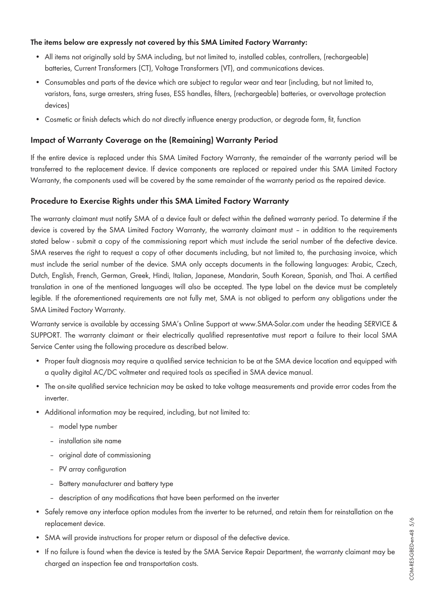#### **The items below are expressly not covered by this SMA Limited Factory Warranty:**

- All items not originally sold by SMA including, but not limited to, installed cables, controllers, (rechargeable) batteries, Current Transformers (CT), Voltage Transformers (VT), and communications devices.
- Consumables and parts of the device which are subject to regular wear and tear (including, but not limited to, varistors, fans, surge arresters, string fuses, ESS handles, filters, (rechargeable) batteries, or overvoltage protection devices)
- Cosmetic or finish defects which do not directly influence energy production, or degrade form, fit, function

## **Impact of Warranty Coverage on the (Remaining) Warranty Period**

If the entire device is replaced under this SMA Limited Factory Warranty, the remainder of the warranty period will be transferred to the replacement device. If device components are replaced or repaired under this SMA Limited Factory Warranty, the components used will be covered by the same remainder of the warranty period as the repaired device.

# **Procedure to Exercise Rights under this SMA Limited Factory Warranty**

The warranty claimant must notify SMA of a device fault or defect within the defined warranty period. To determine if the device is covered by the SMA Limited Factory Warranty, the warranty claimant must – in addition to the requirements stated below - submit a copy of the commissioning report which must include the serial number of the defective device. SMA reserves the right to request a copy of other documents including, but not limited to, the purchasing invoice, which must include the serial number of the device. SMA only accepts documents in the following languages: Arabic, Czech, Dutch, English, French, German, Greek, Hindi, Italian, Japanese, Mandarin, South Korean, Spanish, and Thai. A certified translation in one of the mentioned languages will also be accepted. The type label on the device must be completely legible. If the aforementioned requirements are not fully met, SMA is not obliged to perform any obligations under the SMA Limited Factory Warranty.

Warranty service is available by accessing SMA's Online Support at [www.SMA-Solar.com](http://www.SMA-Solar.com) under the heading SERVICE & SUPPORT. The warranty claimant or their electrically qualified representative must report a failure to their local SMA Service Center using the following procedure as described below.

- Proper fault diagnosis may require a qualified service technician to be at the SMA device location and equipped with a quality digital AC/DC voltmeter and required tools as specified in SMA device manual.
- The on-site qualified service technician may be asked to take voltage measurements and provide error codes from the inverter.
- Additional information may be required, including, but not limited to:
	- model type number
	- installation site name
	- original date of commissioning
	- PV array configuration
	- Battery manufacturer and battery type
	- description of any modifications that have been performed on the inverter
- Safely remove any interface option modules from the inverter to be returned, and retain them for reinstallation on the replacement device.
- SMA will provide instructions for proper return or disposal of the defective device.
- If no failure is found when the device is tested by the SMA Service Repair Department, the warranty claimant may be charged an inspection fee and transportation costs.